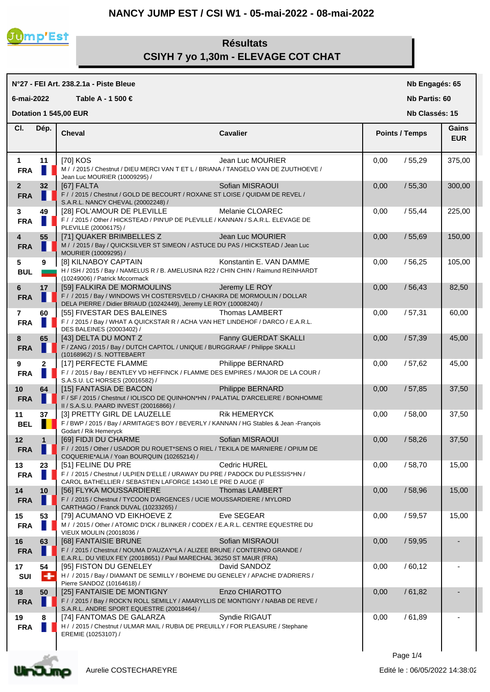## **NANCY JUMP EST / CSI W1 - 05-mai-2022 - 08-mai-2022**



**N°27 - FEI Art. 238.2.1a - Piste Bleue**

# **Résultats CSIYH 7 yo 1,30m - ELEVAGE COT CHAT**

#### **Cheval Cavalier Cl. Nb Engagés: 65 Nb Partis: 60 Nb Classés: 15 Gains 6-mai-2022 Table A - 1 500 € Points / Temps EUR Dotation 1 545,00 EUR**  Dép. **Cheval 1 11** [70] KOS Jean Luc MOURIER 0,00 / 55,29 375,00 **FRA** M / / 2015 / Chestnut / DIEU MERCI VAN T ET L / BRIANA / TANGELO VAN DE ZUUTHOEVE / Jean Luc MOURIER (10009295) / **2 32** [67] FALTA Sofian MISRAOUI 0,00 / 55,30 300,00 **FRA** F / 2015 / Chestnut / GOLD DE BECOURT / ROXANE ST LOISE / QUIDAM DE REVEL / S.A.R.L. NANCY CHEVAL (20002248) / **3 49** [28] FOL'AMOUR DE PLEVILLE Melanie CLOAREC 1000 / 55,44 225,00 FRA **F**  $\overline{F}$  F / / 2015 / Other / HICKSTEAD / PIN'UP DE PLEVILLE / KANNAN / S.A.R.L. ELEVAGE DE PLEVILLE (20006175) / **4 55**  $\begin{bmatrix} 71 \end{bmatrix}$  QUAKER BRIMBELLES Z **Jean Luc MOURIER**  $\begin{bmatrix} 0 & 0 & 0 \\ 0 & 0 & 0 \\ 0 & 0 & 0 \end{bmatrix}$  150,00 **FRA** M / / 2015 / Bay / QUICKSILVER ST SIMEON / ASTUCE DU PAS / HICKSTEAD / Jean Luc MOURIER (10009295) / **5 9** [8] KILNABOY CAPTAIN **Konstantin E. VAN DAMME** 0,00 / 56,25 105,00 **BUL**  $\overline{H}$  H / ISH / 2015 / Bay / NAMELUS R / B. AMELUSINA R22 / CHIN CHIN / Raimund REINHARDT (10249006) / Patrick Mccormack **6 17** | [59] FALKIRA DE MORMOULINS Jeremy LE ROY | 0,00 / 56,43 82,50 **FRA** F / / 2015 / Bay / WINDOWS VH COSTERSVELD / CHAKIRA DE MORMOULIN / DOLLAR DELA PIERRE / Didier BRIAUD (10242449), Jeremy LE ROY (10008240) / **7 60** | [55] FIVESTAR DES BALEINES Thomas LAMBERT | 0,00 / 57,31 | 60,00 **FRA** F / / 2015 / Bay / WHAT A QUICKSTAR R / ACHA VAN HET LINDEHOF / DARCO / E.A.R.L. DES BALEINES (20003402) / **8 65** [43] DELTA DU MONT Z Fanny GUERDAT SKALLI 0,00 / 57,39 45,00 **FRA** F / ZANG / 2015 / Bay / DUTCH CAPITOL / UNIQUE / BURGGRAAF / Philippe SKALLI (10168962) / S. NOTTEBAERT **9 2** [17] PERFECTE FLAMME Philippe BERNARD 0,00 / 57,62 45,00 **FRA** F / / 2015 / Bay / BENTLEY VD HEFFINCK / FLAMME DES EMPIRES / MAJOR DE LA COUR / S.A.S.U. LC HORSES (20016582) / **10 64** [15] FANTASIA DE BACON Philippe BERNARD | 0,00 / 57,85 37,50 **FRA** F / SF / 2015 / Chestnut / IOLISCO DE QUINHON\*HN / PALATIAL D'ARCELIERE / BONHOMME II / S.A.S.U. PAARD INVEST (20016866) / **11 37** [3] PRETTY GIRL DE LAUZELLE Rik HEMERYCK 0,00 / 58,00 37,50 **BEL F** / BWP / 2015 / Bay / ARMITAGE'S BOY / BEVERLY / KANNAN / HG Stables & Jean -François Godart / Rik Hemeryck **12 1**  $[69]$  FIDJI DU CHARME Sofian MISRAOUI  $[0.00 \t 58.26]$  37,50 **FRA** F / / 2015 / Other / USADOR DU ROUET\*SENS O RIEL / TEKILA DE MARNIERE / OPIUM DE COQUERIE\*ALIA / Yoan BOURQUIN (10265214) / **13 23** [51] FELINE DU PRE Cedric HUREL 0,00 / 58,70 15,00 FRA F / / 2015 / Chestnut / ULPIEN D'ELLE / URAWAY DU PRE / PADOCK DU PLESSIS\*HN / CAROL BATHELLIER / SEBASTIEN LAFORGE 14340 LE PRE D AUGE (F **14 10** | [56] FLYKA MOUSSARDIERE Thomas LAMBERT | 0,00 / 58,96 | 15,00 FRA**N F** F / / 2015 / Chestnut / TYCOON D'ARGENCES / UCIE MOUSSARDIERE / MYLORD CARTHAGO / Franck DUVAL (10233265) / 15 **53** |  $[79]$  ACUMANO VD EIKHOEVE Z Eve SEGEAR | 0,00 / 59,57 | 15,00 **FRA** M / / 2015 / Other / ATOMIC D'ICK / BLINKER / CODEX / E.A.R.L. CENTRE EQUESTRE DU VIEUX MOULIN (20018036 / **16 63 | [68] FANTAISIE BRUNE Sofian MISRAOUI | 0,00 / 59,95 - 59,95 - 59,95 - 59,95 - 59,95 - 59,95 - 59,95 - 59,95 - 59,95 - 59,95 - 59,95 - 59,95 - 59,95 - 59,95 - 59,95 - 59,95 - 59,95 - 59,95 - 59,95 - 59,95 - 59,95 -FRA** F / / 2015 / Chestnut / NOUMA D'AUZAY\*LA / ALIZEE BRUNE / CONTERNO GRANDE / E.A.R.L. DU VIEUX FEY (20018651) / Paul MARECHAL 36250 ST MAUR (FRA) **17 54**  $\begin{bmatrix} 95 \\ 95 \end{bmatrix}$  FISTON DU GENELEY David SANDOZ  $\begin{bmatrix} 0,00 \\ 0,00 \end{bmatrix}$  / 60,12 **SUI** H / / 2015 / Bay / DIAMANT DE SEMILLY / BOHEME DU GENELEY / APACHE D'ADRIERS / Pierre SANDOZ (10164618) / **18 50**  $\begin{bmatrix} 25 \end{bmatrix}$  FANTAISIE DE MONTIGNY **Enzo CHIAROTTO 1,000**  $\begin{bmatrix} 61,82 \end{bmatrix}$ **FRA F** / 2015 / Bay / ROCK'N ROLL SEMILLY / AMARYLLIS DE MONTIGNY / NABAB DE REVE / S.A.R.L. ANDRE SPORT EQUESTRE (20018464) / **19 8** [74] FANTOMAS DE GALARZA Syndie RIGAUT 0,00 / 61,89 - FRA  $\blacksquare$  H / / 2015 / Chestnut / ULMAR MAIL / RUBIA DE PREUILLY / FOR PLEASURE / Stephane EREMIE (10253107) /

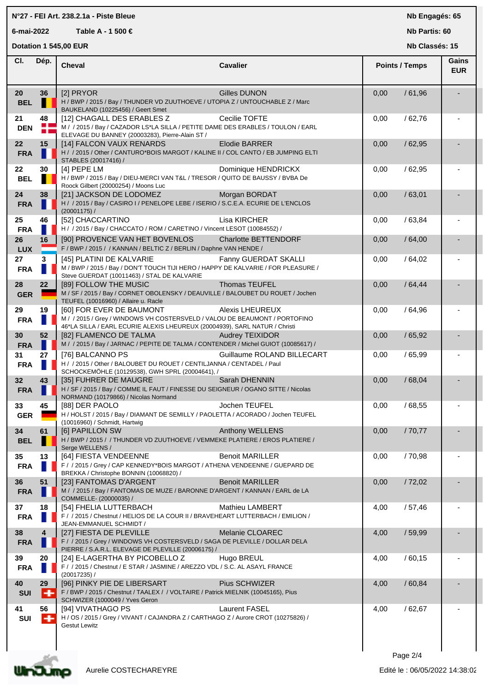## **N°27 - FEI Art. 238.2.1a - Piste Bleue**

**6-mai-2022 Table A - 1 500 €**

**Nb Engagés: 65**

**Nb Partis: 60**

|                        | Nb Classés: 15<br>Dotation 1 545,00 EUR |                                                                                                                                                                                      |                                                      |              |                       |                     |
|------------------------|-----------------------------------------|--------------------------------------------------------------------------------------------------------------------------------------------------------------------------------------|------------------------------------------------------|--------------|-----------------------|---------------------|
| CI.                    | Dép.                                    | Cheval                                                                                                                                                                               | <b>Cavalier</b>                                      |              | <b>Points / Temps</b> | Gains<br><b>EUR</b> |
| 20<br><b>BEL</b>       | 36<br>п                                 | [2] PRYOR<br>H / BWP / 2015 / Bay / THUNDER VD ZUUTHOEVE / UTOPIA Z / UNTOUCHABLE Z / Marc<br>BAUKELAND (10225456) / Geert Smet                                                      | <b>Gilles DUNON</b>                                  | 0,00         | /61,96                |                     |
| 21<br><b>DEN</b>       | 48<br>- 1<br>- 1                        | [12] CHAGALL DES ERABLES Z<br>M / / 2015 / Bay / CAZADOR LS*LA SILLA / PETITE DAME DES ERABLES / TOULON / EARL<br>ELEVAGE DU BANNEY (20003283), Pierre-Alain ST /                    | Cecilie TOFTE                                        | 0,00         | /62,76                |                     |
| 22<br><b>FRA</b>       | 15                                      | [14] FALCON VAUX RENARDS<br>H / / 2015 / Other / CANTURO*BOIS MARGOT / KALINE II / COL CANTO / EB JUMPING ELTI<br>STABLES (20017416) /                                               | <b>Elodie BARRER</b>                                 | 0,00         | /62,95                |                     |
| 22<br><b>BEL</b>       | 30                                      | [4] PEPE LM<br>H / BWP / 2015 / Bay / DIEU-MERCI VAN T&L / TRESOR / QUITO DE BAUSSY / BVBA De<br>Roock Gilbert (20000254) / Moons Luc                                                | Dominique HENDRICKX                                  | 0,00         | /62,95                |                     |
| 24<br><b>FRA</b>       | 38                                      | [21] JACKSON DE LODOMEZ<br>H / / 2015 / Bay / CASIRO I / PENELOPE LEBE / ISERIO / S.C.E.A. ECURIE DE L'ENCLOS<br>$(20001175)$ /                                                      | Morgan BORDAT                                        | 0,00         | /63,01                |                     |
| 25<br><b>FRA</b>       | 46                                      | [52] CHACCARTINO<br>H / / 2015 / Bay / CHACCATO / ROM / CARETINO / Vincent LESOT (10084552) /                                                                                        | Lisa KIRCHER                                         | 0,00         | /63,84                |                     |
| 26<br><b>LUX</b><br>27 | 16<br>3                                 | [90] PROVENCE VAN HET BOVENLOS<br>F / BWP / 2015 / / KANNAN / BELTIC Z / BERLIN / Daphne VAN HENDE /<br>[45] PLATINI DE KALVARIE                                                     | <b>Charlotte BETTENDORF</b><br>Fanny GUERDAT SKALLI  | 0,00<br>0,00 | /64,00<br>/64,02      |                     |
| <b>FRA</b><br>28       | 22                                      | M / BWP / 2015 / Bay / DON'T TOUCH TIJI HERO / HAPPY DE KALVARIE / FOR PLEASURE /<br>Steve GUERDAT (10011463) / STAL DE KALVARIE<br>[89] FOLLOW THE MUSIC                            | <b>Thomas TEUFEL</b>                                 | 0,00         | /64,44                |                     |
| <b>GER</b>             |                                         | M / SF / 2015 / Bay / CORNET OBOLENSKY / DEAUVILLE / BALOUBET DU ROUET / Jochen<br>TEUFEL (10016960) / Allaire u. Racle                                                              |                                                      |              |                       |                     |
| 29<br><b>FRA</b>       | 19                                      | [60] FOR EVER DE BAUMONT<br>M / / 2015 / Grey / WINDOWS VH COSTERSVELD / VALOU DE BEAUMONT / PORTOFINO<br>46*LA SILLA / EARL ECURIE ALEXIS LHEUREUX (20004939), SARL NATUR / Christi | <b>Alexis LHEUREUX</b>                               | 0,00         | /64,96                |                     |
| 30<br><b>FRA</b><br>31 | 52<br>27                                | [82] FLAMENCO DE TALMA<br>M / / 2015 / Bay / JARNAC / PEPITE DE TALMA / CONTENDER / Michel GUIOT (10085617) /<br>[76] BALCANNO PS                                                    | <b>Audrey TEIXIDOR</b><br>Guillaume ROLAND BILLECART | 0,00<br>0,00 | /65,92<br>/65,99      |                     |
| <b>FRA</b>             | H.                                      | H / / 2015 / Other / BALOUBET DU ROUET / CENTILJANNA / CENTADEL / Paul<br>SCHOCKEMÖHLE (10129538), GWH SPRL (20004641), /<br>[35] FUHRER DE MAUGRE                                   | Sarah DHENNIN                                        |              | /68,04                |                     |
| 32<br><b>FRA</b>       | 43                                      | H / SF / 2015 / Bay / COMME IL FAUT / FINESSE DU SEIGNEUR / OGANO SITTE / Nicolas<br>NORMAND (10179866) / Nicolas Normand                                                            |                                                      | 0,00         |                       |                     |
| 33<br><b>GER</b>       | 45                                      | [88] DER PAOLO<br>H / HOLST / 2015 / Bay / DIAMANT DE SEMILLY / PAOLETTA / ACORADO / Jochen TEUFEL<br>(10016960) / Schmidt, Hartwig                                                  | Jochen TEUFEL                                        | 0,00         | /68,55                |                     |
| 34<br><b>BEL</b>       | 61                                      | <b>[6] PAPILLON SW</b><br>H / BWP / 2015 / / THUNDER VD ZUUTHOEVE / VEMMEKE PLATIERE / EROS PLATIERE /<br>Serge WELLENS /                                                            | Anthony WELLENS                                      | 0,00         | /70,77                |                     |
| 35<br><b>FRA</b>       | 13                                      | [64] FIESTA VENDEENNE<br>F / / 2015 / Grey / CAP KENNEDY*BOIS MARGOT / ATHENA VENDEENNE / GUEPARD DE<br>BREKKA / Christophe BONNIN (10068820) /                                      | <b>Benoit MARILLER</b>                               | 0,00         | /70,98                |                     |
| 36<br><b>FRA</b>       | 51                                      | [23] FANTOMAS D'ARGENT<br>M / / 2015 / Bay / FANTOMAS DE MUZE / BARONNE D'ARGENT / KANNAN / EARL de LA<br>COMMELLE- (20000035) /                                                     | <b>Benoit MARILLER</b>                               | 0,00         | /72,02                |                     |
| 37<br><b>FRA</b>       | 18                                      | [54] FHELIA LUTTERBACH<br>F / / 2015 / Chestnut / HELIOS DE LA COUR II / BRAVEHEART LUTTERBACH / EMILION /<br>JEAN-EMMANUEL SCHMIDT /                                                | <b>Mathieu LAMBERT</b>                               | 4,00         | /57,46                |                     |
| 38<br><b>FRA</b>       | $\overline{\mathbf{4}}$                 | [27] FIESTA DE PLEVILLE<br>F / / 2015 / Grey / WINDOWS VH COSTERSVELD / SAGA DE PLEVILLE / DOLLAR DELA<br>PIERRE / S.A.R.L. ELEVAGE DE PLEVILLE (20006175) /                         | Melanie CLOAREC                                      | 4,00         | /59,99                |                     |
| 39<br><b>FRA</b>       | 20                                      | [24] E-LAGERTHA BY PICOBELLO Z<br>F / / 2015 / Chestnut / E STAR / JASMINE / AREZZO VDL / S.C. AL ASAYL FRANCE<br>$(20017235)$ /                                                     | Hugo BREUL                                           | 4,00         | /60,15                |                     |
| 40<br><b>SUI</b>       | 29<br>۰                                 | [96] PINKY PIE DE LIBERSART<br>F / BWP / 2015 / Chestnut / TAALEX / / VOLTAIRE / Patrick MIELNIK (10045165), Pius<br>SCHWIZER (1000049 / Yves Geron                                  | Pius SCHWIZER                                        | 4,00         | /60,84                |                     |
| 41<br>SUI              | 56<br>٠                                 | [94] VIVATHAGO PS<br>H / OS / 2015 / Grey / VIVANT / CAJANDRA Z / CARTHAGO Z / Aurore CROT (10275826) /<br><b>Gestut Lewitz</b>                                                      | <b>Laurent FASEL</b>                                 | 4,00         | /62,67                |                     |
|                        |                                         |                                                                                                                                                                                      |                                                      |              |                       |                     |

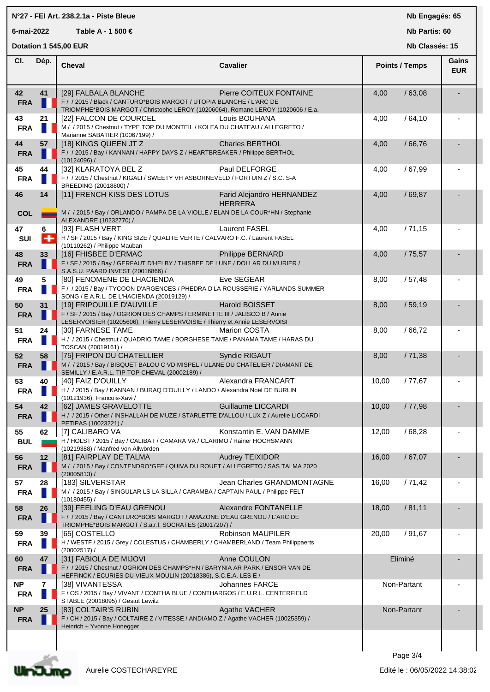## **N°27 - FEI Art. 238.2.1a - Piste Bleue**

**6-mai-2022 Table A - 1 500 €**

**Nb Engagés: 65**

**Nb Partis: 60**

|                         |                      | Dotation 1 545,00 EUR                                                                                                                                                                  | Nb Classés: 15                              |                       |                     |
|-------------------------|----------------------|----------------------------------------------------------------------------------------------------------------------------------------------------------------------------------------|---------------------------------------------|-----------------------|---------------------|
| CI.                     | Dép.                 | <b>Cheval</b>                                                                                                                                                                          | <b>Cavalier</b>                             | <b>Points / Temps</b> | Gains<br><b>EUR</b> |
| 42<br><b>FRA</b>        | 41                   | [29] FALBALA BLANCHE<br>F / / 2015 / Black / CANTURO*BOIS MARGOT / UTOPIA BLANCHE / L'ARC DE<br>TRIOMPHE*BOIS MARGOT / Christophe LEROY (10206064), Romane LEROY (1020606 / E.a.       | Pierre COITEUX FONTAINE                     | /63,08<br>4,00        |                     |
| 43<br><b>FRA</b>        | 21<br>H.             | [22] FALCON DE COURCEL<br>M / / 2015 / Chestnut / TYPE TOP DU MONTEIL / KOLEA DU CHATEAU / ALLEGRETO /                                                                                 | Louis BOUHANA                               | /64,10<br>4,00        |                     |
| 44<br><b>FRA</b>        | 57                   | Marianne SABATIER (10067199) /<br>[18] KINGS QUEEN JT Z<br>F / / 2015 / Bay / KANNAN / HAPPY DAYS Z / HEARTBREAKER / Philippe BERTHOL                                                  | <b>Charles BERTHOL</b>                      | /66,76<br>4,00        |                     |
| 45<br><b>FRA</b>        | 44                   | (10124096) /<br>[32] KLARATOYA BEL Z<br>F / / 2015 / Chestnut / KIGALI / SWEETY VH ASBORNEVELD / FORTUIN Z / S.C. S-A                                                                  | Paul DELFORGE                               | /67,99<br>4,00        |                     |
| 46                      | 14                   | BREEDING (20018800) /<br>[11] FRENCH KISS DES LOTUS                                                                                                                                    | Farid Alejandro HERNANDEZ<br><b>HERRERA</b> | /69,87<br>4,00        |                     |
| <b>COL</b><br>47        | 6                    | M / / 2015 / Bay / ORLANDO / PAMPA DE LA VIOLLE / ELAN DE LA COUR*HN / Stephanie<br>ALEXANDRE (10232770) /<br>[93] FLASH VERT                                                          | Laurent FASEL                               | /71,15<br>4,00        |                     |
| SUI                     | $\ddot{\phantom{1}}$ | H / SF / 2015 / Bay / KING SIZE / QUALITE VERTE / CALVARO F.C. / Laurent FASEL<br>(10110262) / Philippe Mauban                                                                         |                                             |                       |                     |
| 48<br><b>FRA</b>        | 33                   | [16] FHISBEE D'ERMAC<br>F / SF / 2015 / Bay / GERFAUT D'HELBY / THISBEE DE LUNE / DOLLAR DU MURIER /<br>S.A.S.U. PAARD INVEST (20016866) /                                             | <b>Philippe BERNARD</b>                     | /75,57<br>4,00        |                     |
| 49<br><b>FRA</b>        | 5                    | [80] FENOMENE DE LHACIENDA<br>F / / 2015 / Bay / TYCOON D'ARGENCES / PHEDRA D'LA ROUSSERIE / YARLANDS SUMMER<br>SONG / E.A.R.L. DE L'HACIENDA (20019129) /                             | Eve SEGEAR                                  | /57,48<br>8,00        |                     |
| 50<br><b>FRA</b>        | 31                   | [19] FRIPOUILLE D'AUVILLE<br>F / SF / 2015 / Bay / OGRION DES CHAMPS / ERMINETTE III / JALISCO B / Annie<br>LESERVOISIER (10205606), Thierry LESERVOISIE / Thierry et Annie LESERVOISI | Harold BOISSET                              | 8,00<br>/59,19        |                     |
| 51<br><b>FRA</b>        | 24<br>H.             | [30] FARNESE TAME<br>H / / 2015 / Chestnut / QUADRIO TAME / BORGHESE TAME / PANAMA TAME / HARAS DU<br>TOSCAN (20019161) /                                                              | <b>Marion COSTA</b>                         | 8,00<br>/66,72        |                     |
| 52<br><b>FRA</b>        | 58                   | [75] FRIPON DU CHATELLIER<br>M / / 2015 / Bay / BISQUET BALOU C VD MISPEL / ULANE DU CHATELIER / DIAMANT DE<br>SEMILLY / E.A.R.L. TIP TOP CHEVAL (20002189) /                          | Syndie RIGAUT                               | 8,00<br>/71,38        |                     |
| 53<br><b>FRA</b>        | 40                   | [40] FAIZ D'OUILLY<br>H / / 2015 / Bay / KANNAN / BURAQ D'OUILLY / LANDO / Alexandra Noël DE BURLIN<br>(10121936), Francois-Xavi /                                                     | Alexandra FRANCART                          | 10,00<br>/77,67       |                     |
| 54<br><b>FRA</b>        | 42                   | [62] JAMES GRAVELOTTE<br>H / / 2015 / Other / INSHALLAH DE MUZE / STARLETTE D'ALLOU / LUX Z / Aurelie LICCARDI<br>PETIPAS (10023221) /                                                 | <b>Guillaume LICCARDI</b>                   | 10,00<br>/77,98       |                     |
| 55<br><b>BUL</b>        | 62                   | [7] CALIBARO VA<br>H / HOLST / 2015 / Bay / CALIBAT / CAMARA VA / CLARIMO / Rainer HÖCHSMANN                                                                                           | Konstantin E. VAN DAMME                     | 12,00<br>/68,28       |                     |
| 56<br><b>FRA</b>        | 12                   | (10219388) / Manfred von Allwörden<br>[81] FAIRPLAY DE TALMA<br>M / / 2015 / Bay / CONTENDRO*GFE / QUIVA DU ROUET / ALLEGRETO / SAS TALMA 2020                                         | Audrey TEIXIDOR                             | /67,07<br>16,00       |                     |
| 57<br><b>FRA</b>        | 28                   | $(20005813)$ /<br>[183] SILVERSTAR<br>M / / 2015 / Bay / SINGULAR LS LA SILLA / CARAMBA / CAPTAIN PAUL / Philippe FELT                                                                 | Jean Charles GRANDMONTAGNE                  | 16,00<br>/71,42       |                     |
| 58<br><b>FRA</b>        | 26                   | $(10180455)$ /<br>[39] FEELING D'EAU GRENOU<br>F / / 2015 / Bay / CANTURO*BOIS MARGOT / AMAZONE D'EAU GRENOU / L'ARC DE                                                                | Alexandre FONTANELLE                        | /81,11<br>18,00       |                     |
| 59<br><b>FRA</b>        | 39                   | TRIOMPHE*BOIS MARGOT / S.a.r.l. SOCRATES (20017207) /<br>[65] COSTELLO<br>H / WESTF / 2015 / Grey / COLESTUS / CHAMBERLY / CHAMBERLAND / Team Philippaerts                             | <b>Robinson MAUPILER</b>                    | 20,00<br>/ 91,67      |                     |
| 60<br><b>FRA</b>        | 47                   | $(20002517)$ /<br>[31] FABIOLA DE MIJOVI<br>F / / 2015 / Chestnut / OGRION DES CHAMPS*HN / BARYNIA AR PARK / ENSOR VAN DE                                                              | Anne COULON                                 | Eliminé               |                     |
| <b>NP</b><br><b>FRA</b> | $\overline{7}$       | HEFFINCK / ECURIES DU VIEUX MOULIN (20018386), S.C.E.A. LES E /<br>[38] VIVANTESSA<br>F / OS / 2015 / Bay / VIVANT / CONTHA BLUE / CONTHARGOS / E.U.R.L. CENTERFIELD                   | Johannes FARCE                              | Non-Partant           |                     |
| <b>NP</b><br><b>FRA</b> | 25                   | STABLE (20018095) / Gestüt Lewitz<br>[83] COLTAIR'S RUBIN<br>F / CH / 2015 / Bay / COLTAIRE Z / VITESSE / ANDIAMO Z / Agathe VACHER (10025359) /<br>Heinrich + Yvonne Honegger         | Agathe VACHER                               | Non-Partant           |                     |
|                         |                      |                                                                                                                                                                                        |                                             |                       |                     |
|                         |                      |                                                                                                                                                                                        |                                             | Page 3/4              |                     |